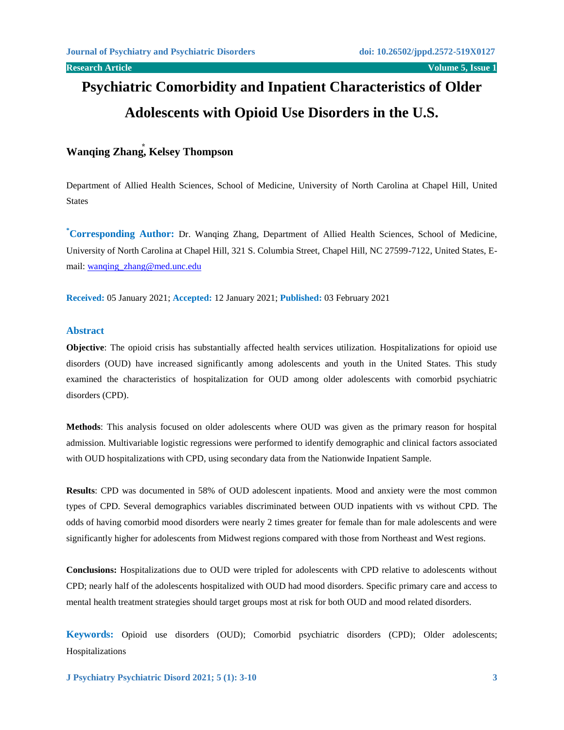# **Psychiatric Comorbidity and Inpatient Characteristics of Older Adolescents with Opioid Use Disorders in the U.S.**

## **Wanqing Zhang⃰ , Kelsey Thompson**

Department of Allied Health Sciences, School of Medicine, University of North Carolina at Chapel Hill, United States

**\*Corresponding Author:** Dr. Wanqing Zhang, Department of Allied Health Sciences, School of Medicine, University of North Carolina at Chapel Hill, 321 S. Columbia Street, Chapel Hill, NC 27599-7122, United States, Email: [wanqing\\_zhang@med.unc.edu](mailto:wanqing_zhang@med.unc.edu)

**Received:** 05 January 2021; **Accepted:** 12 January 2021; **Published:** 03 February 2021

#### **Abstract**

**Objective**: The opioid crisis has substantially affected health services utilization. Hospitalizations for opioid use disorders (OUD) have increased significantly among adolescents and youth in the United States. This study examined the characteristics of hospitalization for OUD among older adolescents with comorbid psychiatric disorders (CPD).

**Methods**: This analysis focused on older adolescents where OUD was given as the primary reason for hospital admission. Multivariable logistic regressions were performed to identify demographic and clinical factors associated with OUD hospitalizations with CPD, using secondary data from the Nationwide Inpatient Sample.

**Results**: CPD was documented in 58% of OUD adolescent inpatients. Mood and anxiety were the most common types of CPD. Several demographics variables discriminated between OUD inpatients with vs without CPD. The odds of having comorbid mood disorders were nearly 2 times greater for female than for male adolescents and were significantly higher for adolescents from Midwest regions compared with those from Northeast and West regions.

**Conclusions:** Hospitalizations due to OUD were tripled for adolescents with CPD relative to adolescents without CPD; nearly half of the adolescents hospitalized with OUD had mood disorders. Specific primary care and access to mental health treatment strategies should target groups most at risk for both OUD and mood related disorders.

**Keywords:** Opioid use disorders (OUD); Comorbid psychiatric disorders (CPD); Older adolescents; Hospitalizations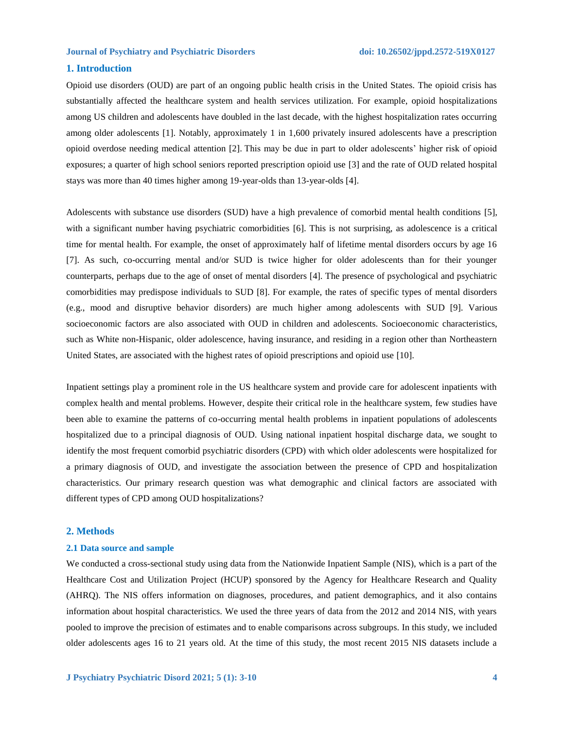### **1. Introduction**

Opioid use disorders (OUD) are part of an ongoing public health crisis in the United States. The opioid crisis has substantially affected the healthcare system and health services utilization. For example, opioid hospitalizations among US children and adolescents have doubled in the last decade, with the highest hospitalization rates occurring among older adolescents [1]. Notably, approximately 1 in 1,600 privately insured adolescents have a prescription opioid overdose needing medical attention [2]. This may be due in part to older adolescents' higher risk of opioid exposures; a quarter of high school seniors reported prescription opioid use [3] and the rate of OUD related hospital stays was more than 40 times higher among 19-year-olds than 13-year-olds [4].

Adolescents with substance use disorders (SUD) have a high prevalence of comorbid mental health conditions [5], with a significant number having psychiatric comorbidities [6]. This is not surprising, as adolescence is a critical time for mental health. For example, the onset of approximately half of lifetime mental disorders occurs by age 16 [7]. As such, co-occurring mental and/or SUD is twice higher for older adolescents than for their younger counterparts, perhaps due to the age of onset of mental disorders [4]. The presence of psychological and psychiatric comorbidities may predispose individuals to SUD [8]. For example, the rates of specific types of mental disorders (e.g., mood and disruptive behavior disorders) are much higher among adolescents with SUD [9]. Various socioeconomic factors are also associated with OUD in children and adolescents. Socioeconomic characteristics, such as White non-Hispanic, older adolescence, having insurance, and residing in a region other than Northeastern United States, are associated with the highest rates of opioid prescriptions and opioid use [10].

Inpatient settings play a prominent role in the US healthcare system and provide care for adolescent inpatients with complex health and mental problems. However, despite their critical role in the healthcare system, few studies have been able to examine the patterns of co-occurring mental health problems in inpatient populations of adolescents hospitalized due to a principal diagnosis of OUD. Using national inpatient hospital discharge data, we sought to identify the most frequent comorbid psychiatric disorders (CPD) with which older adolescents were hospitalized for a primary diagnosis of OUD, and investigate the association between the presence of CPD and hospitalization characteristics. Our primary research question was what demographic and clinical factors are associated with different types of CPD among OUD hospitalizations?

#### **2. Methods**

#### **2.1 Data source and sample**

We conducted a cross-sectional study using data from the Nationwide Inpatient Sample (NIS), which is a part of the Healthcare Cost and Utilization Project (HCUP) sponsored by the Agency for Healthcare Research and Quality (AHRQ). The NIS offers information on diagnoses, procedures, and patient demographics, and it also contains information about hospital characteristics. We used the three years of data from the 2012 and 2014 NIS, with years pooled to improve the precision of estimates and to enable comparisons across subgroups. In this study, we included older adolescents ages 16 to 21 years old. At the time of this study, the most recent 2015 NIS datasets include a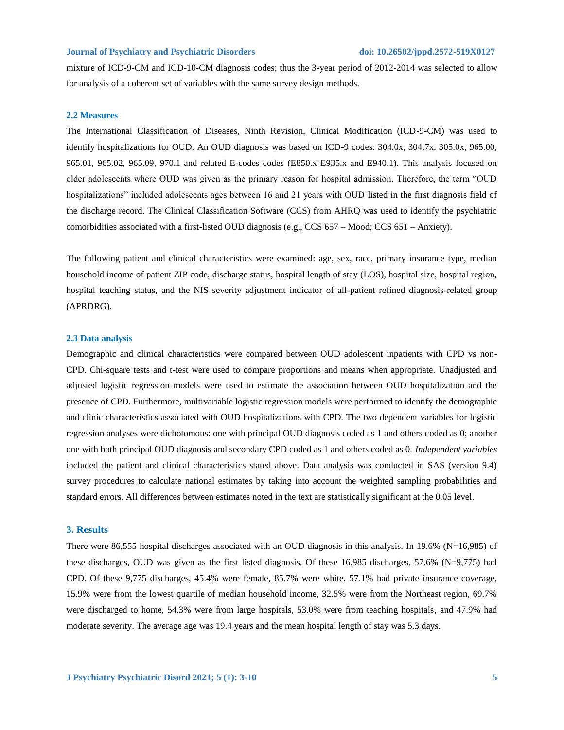mixture of ICD-9-CM and ICD-10-CM diagnosis codes; thus the 3-year period of 2012-2014 was selected to allow for analysis of a coherent set of variables with the same survey design methods.

#### **2.2 Measures**

The International Classification of Diseases, Ninth Revision, Clinical Modification (ICD-9-CM) was used to identify hospitalizations for OUD. An OUD diagnosis was based on ICD-9 codes: 304.0x, 304.7x, 305.0x, 965.00, 965.01, 965.02, 965.09, 970.1 and related E-codes codes (E850.x E935.x and E940.1). This analysis focused on older adolescents where OUD was given as the primary reason for hospital admission. Therefore, the term "OUD hospitalizations" included adolescents ages between 16 and 21 years with OUD listed in the first diagnosis field of the discharge record. The Clinical Classification Software (CCS) from AHRQ was used to identify the psychiatric comorbidities associated with a first-listed OUD diagnosis (e.g., CCS 657 – Mood; CCS 651 – Anxiety).

The following patient and clinical characteristics were examined: age, sex, race, primary insurance type, median household income of patient ZIP code, discharge status, hospital length of stay (LOS), hospital size, hospital region, hospital teaching status, and the NIS severity adjustment indicator of all-patient refined diagnosis-related group (APRDRG).

#### **2.3 Data analysis**

Demographic and clinical characteristics were compared between OUD adolescent inpatients with CPD vs non-CPD. Chi-square tests and t-test were used to compare proportions and means when appropriate. Unadjusted and adjusted logistic regression models were used to estimate the association between OUD hospitalization and the presence of CPD. Furthermore, multivariable logistic regression models were performed to identify the demographic and clinic characteristics associated with OUD hospitalizations with CPD. The two dependent variables for logistic regression analyses were dichotomous: one with principal OUD diagnosis coded as 1 and others coded as 0; another one with both principal OUD diagnosis and secondary CPD coded as 1 and others coded as 0. *Independent variables* included the patient and clinical characteristics stated above. Data analysis was conducted in SAS (version 9.4) survey procedures to calculate national estimates by taking into account the weighted sampling probabilities and standard errors. All differences between estimates noted in the text are statistically significant at the 0.05 level.

#### **3. Results**

There were 86,555 hospital discharges associated with an OUD diagnosis in this analysis. In 19.6% (N=16,985) of these discharges, OUD was given as the first listed diagnosis. Of these 16,985 discharges, 57.6% (N=9,775) had CPD. Of these 9,775 discharges, 45.4% were female, 85.7% were white, 57.1% had private insurance coverage, 15.9% were from the lowest quartile of median household income, 32.5% were from the Northeast region, 69.7% were discharged to home, 54.3% were from large hospitals, 53.0% were from teaching hospitals, and 47.9% had moderate severity. The average age was 19.4 years and the mean hospital length of stay was 5.3 days.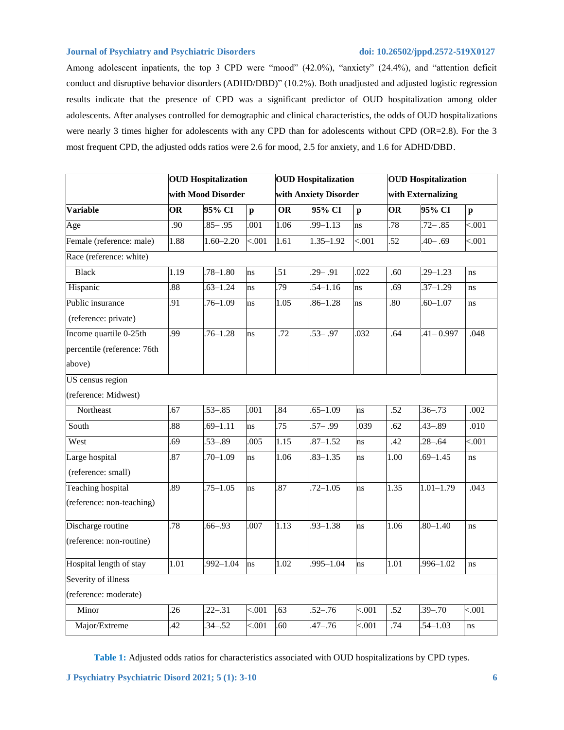Among adolescent inpatients, the top 3 CPD were "mood" (42.0%), "anxiety" (24.4%), and "attention deficit conduct and disruptive behavior disorders (ADHD/DBD)" (10.2%). Both unadjusted and adjusted logistic regression results indicate that the presence of CPD was a significant predictor of OUD hospitalization among older adolescents. After analyses controlled for demographic and clinical characteristics, the odds of OUD hospitalizations were nearly 3 times higher for adolescents with any CPD than for adolescents without CPD (OR=2.8). For the 3 most frequent CPD, the adjusted odds ratios were 2.6 for mood, 2.5 for anxiety, and 1.6 for ADHD/DBD.

|                             | <b>OUD</b> Hospitalization<br>with Mood Disorder |               |                           | <b>OUD</b> Hospitalization<br>with Anxiety Disorder |               |                   | <b>OUD</b> Hospitalization<br>with Externalizing |               |              |
|-----------------------------|--------------------------------------------------|---------------|---------------------------|-----------------------------------------------------|---------------|-------------------|--------------------------------------------------|---------------|--------------|
|                             |                                                  |               |                           |                                                     |               |                   |                                                  |               |              |
| <b>Variable</b>             | OR                                               | 95% CI        | $\boldsymbol{\mathsf{p}}$ | <b>OR</b>                                           | 95% CI        | $\mathbf{p}$      | OR                                               | 95% CI        | $\mathbf{p}$ |
| Age                         | .90                                              | $.85 - .95$   | .001                      | 1.06                                                | $.99 - 1.13$  | ns                | .78                                              | $.72 - .85$   | < .001       |
| Female (reference: male)    | 1.88                                             | $1.60 - 2.20$ | < .001                    | 1.61                                                | $1.35 - 1.92$ | $\overline{<}001$ | $\overline{52}$                                  | $.40 - .69$   | < .001       |
| Race (reference: white)     |                                                  |               |                           |                                                     |               |                   |                                                  |               |              |
| <b>Black</b>                | 1.19                                             | $.78 - 1.80$  | ns                        | .51                                                 | $.29-.91$     | .022              | .60                                              | $29 - 1.23$   | ns           |
| Hispanic                    | 88                                               | $.63 - 1.24$  | ns                        | .79                                                 | $.54 - 1.16$  | ns                | .69                                              | $37 - 1.29$   | ns           |
| Public insurance            | 91                                               | $.76 - 1.09$  | ns                        | 1.05                                                | $.86 - 1.28$  | ns                | .80                                              | $.60 - 1.07$  | ns           |
| (reference: private)        |                                                  |               |                           |                                                     |               |                   |                                                  |               |              |
| Income quartile 0-25th      | 99                                               | $.76 - 1.28$  | ns                        | $\overline{.72}$                                    | $.53 - .97$   | .032              | .64                                              | $.41 - 0.997$ | .048         |
| percentile (reference: 76th |                                                  |               |                           |                                                     |               |                   |                                                  |               |              |
| above)                      |                                                  |               |                           |                                                     |               |                   |                                                  |               |              |
| US census region            |                                                  |               |                           |                                                     |               |                   |                                                  |               |              |
| (reference: Midwest)        |                                                  |               |                           |                                                     |               |                   |                                                  |               |              |
| Northeast                   | 67                                               | $.53 - .85$   | .001                      | .84                                                 | $.65 - 1.09$  | ns                | .52                                              | $.36 - .73$   | .002         |
| South                       | 88                                               | $.69 - 1.11$  | ns                        | .75                                                 | $.57 - .99$   | .039              | .62                                              | $43 - 89$     | .010         |
| West                        | 69                                               | $.53 - .89$   | .005                      | $\overline{1.15}$                                   | $.87 - 1.52$  | ns                | .42                                              | $.28 - .64$   | < .001       |
| Large hospital              | 87                                               | $.70 - 1.09$  | ns                        | 1.06                                                | $.83 - 1.35$  | ns                | 1.00                                             | $.69 - 1.45$  | ns           |
| (reference: small)          |                                                  |               |                           |                                                     |               |                   |                                                  |               |              |
| <b>Teaching hospital</b>    | .89                                              | $.75 - 1.05$  | ns                        | .87                                                 | $.72 - 1.05$  | ns                | 1.35                                             | $1.01 - 1.79$ | .043         |
| (reference: non-teaching)   |                                                  |               |                           |                                                     |               |                   |                                                  |               |              |
| Discharge routine           | 78                                               | $.66 - .93$   | .007                      | 1.13                                                | $.93 - 1.38$  | ns                | 1.06                                             | $.80 - 1.40$  | ns           |
| (reference: non-routine)    |                                                  |               |                           |                                                     |               |                   |                                                  |               |              |
| Hospital length of stay     | 1.01                                             | $.992 - 1.04$ | <sub>ns</sub>             | 1.02                                                | $.995 - 1.04$ | ns                | 1.01                                             | $.996 - 1.02$ | ns           |
| Severity of illness         |                                                  |               |                           |                                                     |               |                   |                                                  |               |              |
| (reference: moderate)       |                                                  |               |                           |                                                     |               |                   |                                                  |               |              |
| Minor                       | 26                                               | $.22 - .31$   | < .001                    | .63                                                 | $.52 - .76$   | $\overline{<}001$ | .52                                              | $.39 - .70$   | < .001       |
| Major/Extreme               | $\overline{42}$                                  | $.34 - .52$   | < 001                     | .60                                                 | $.47 - .76$   | < .001            | .74                                              | $.54 - 1.03$  | ns           |

**Table 1:** Adjusted odds ratios for characteristics associated with OUD hospitalizations by CPD types.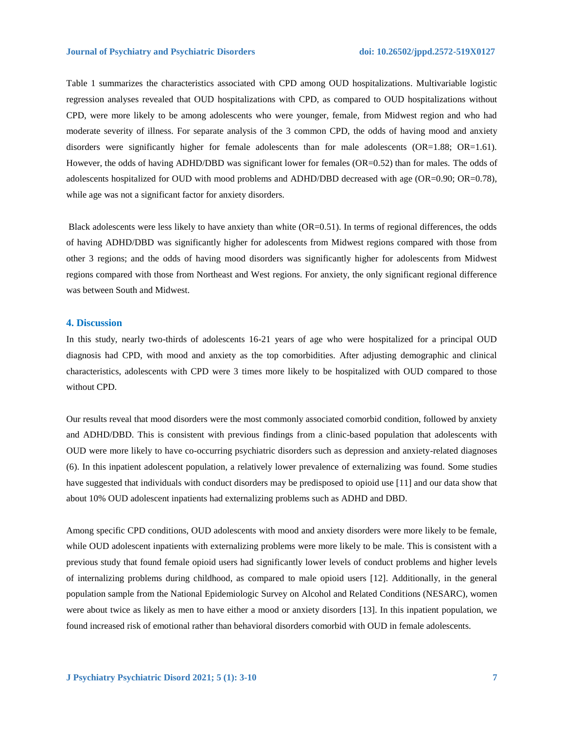Table 1 summarizes the characteristics associated with CPD among OUD hospitalizations. Multivariable logistic regression analyses revealed that OUD hospitalizations with CPD, as compared to OUD hospitalizations without CPD, were more likely to be among adolescents who were younger, female, from Midwest region and who had moderate severity of illness. For separate analysis of the 3 common CPD, the odds of having mood and anxiety disorders were significantly higher for female adolescents than for male adolescents (OR=1.88; OR=1.61). However, the odds of having ADHD/DBD was significant lower for females (OR=0.52) than for males. The odds of adolescents hospitalized for OUD with mood problems and ADHD/DBD decreased with age (OR=0.90; OR=0.78), while age was not a significant factor for anxiety disorders.

Black adolescents were less likely to have anxiety than white (OR=0.51). In terms of regional differences, the odds of having ADHD/DBD was significantly higher for adolescents from Midwest regions compared with those from other 3 regions; and the odds of having mood disorders was significantly higher for adolescents from Midwest regions compared with those from Northeast and West regions. For anxiety, the only significant regional difference was between South and Midwest.

### **4. Discussion**

In this study, nearly two-thirds of adolescents 16-21 years of age who were hospitalized for a principal OUD diagnosis had CPD, with mood and anxiety as the top comorbidities. After adjusting demographic and clinical characteristics, adolescents with CPD were 3 times more likely to be hospitalized with OUD compared to those without CPD.

Our results reveal that mood disorders were the most commonly associated comorbid condition, followed by anxiety and ADHD/DBD. This is consistent with previous findings from a clinic-based population that adolescents with OUD were more likely to have co-occurring psychiatric disorders such as depression and anxiety-related diagnoses (6). In this inpatient adolescent population, a relatively lower prevalence of externalizing was found. Some studies have suggested that individuals with conduct disorders may be predisposed to opioid use [11] and our data show that about 10% OUD adolescent inpatients had externalizing problems such as ADHD and DBD.

Among specific CPD conditions, OUD adolescents with mood and anxiety disorders were more likely to be female, while OUD adolescent inpatients with externalizing problems were more likely to be male. This is consistent with a previous study that found female opioid users had significantly lower levels of conduct problems and higher levels of internalizing problems during childhood, as compared to male opioid users [12]. Additionally, in the general population sample from the National Epidemiologic Survey on Alcohol and Related Conditions (NESARC), women were about twice as likely as men to have either a mood or anxiety disorders [13]. In this inpatient population, we found increased risk of emotional rather than behavioral disorders comorbid with OUD in female adolescents.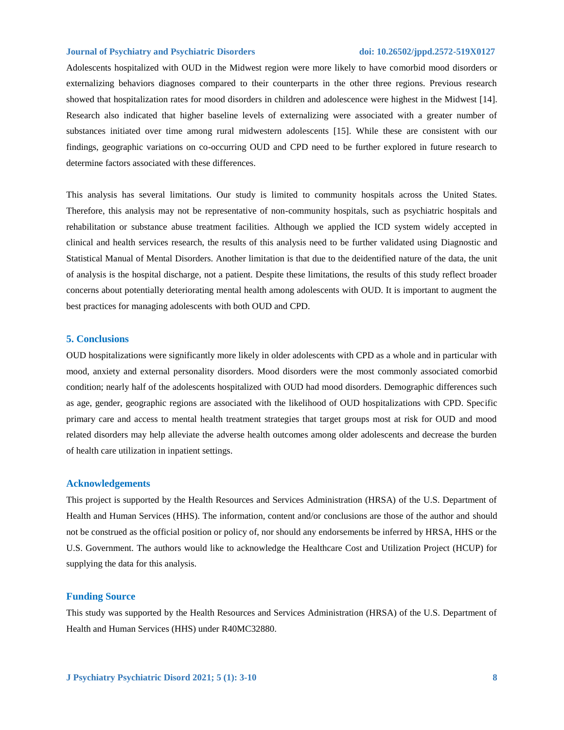Adolescents hospitalized with OUD in the Midwest region were more likely to have comorbid mood disorders or externalizing behaviors diagnoses compared to their counterparts in the other three regions. Previous research showed that hospitalization rates for mood disorders in children and adolescence were highest in the Midwest [14]. Research also indicated that higher baseline levels of externalizing were associated with a greater number of substances initiated over time among rural midwestern adolescents [15]. While these are consistent with our findings, geographic variations on co-occurring OUD and CPD need to be further explored in future research to determine factors associated with these differences.

This analysis has several limitations. Our study is limited to community hospitals across the United States. Therefore, this analysis may not be representative of non-community hospitals, such as psychiatric hospitals and rehabilitation or substance abuse treatment facilities. Although we applied the ICD system widely accepted in clinical and health services research, the results of this analysis need to be further validated using Diagnostic and Statistical Manual of Mental Disorders. Another limitation is that due to the deidentified nature of the data, the unit of analysis is the hospital discharge, not a patient. Despite these limitations, the results of this study reflect broader concerns about potentially deteriorating mental health among adolescents with OUD. It is important to augment the best practices for managing adolescents with both OUD and CPD.

### **5. Conclusions**

OUD hospitalizations were significantly more likely in older adolescents with CPD as a whole and in particular with mood, anxiety and external personality disorders. Mood disorders were the most commonly associated comorbid condition; nearly half of the adolescents hospitalized with OUD had mood disorders. Demographic differences such as age, gender, geographic regions are associated with the likelihood of OUD hospitalizations with CPD. Specific primary care and access to mental health treatment strategies that target groups most at risk for OUD and mood related disorders may help alleviate the adverse health outcomes among older adolescents and decrease the burden of health care utilization in inpatient settings.

#### **Acknowledgements**

This project is supported by the Health Resources and Services Administration (HRSA) of the U.S. Department of Health and Human Services (HHS). The information, content and/or conclusions are those of the author and should not be construed as the official position or policy of, nor should any endorsements be inferred by HRSA, HHS or the U.S. Government. The authors would like to acknowledge the Healthcare Cost and Utilization Project (HCUP) for supplying the data for this analysis.

#### **Funding Source**

This study was supported by the Health Resources and Services Administration (HRSA) of the U.S. Department of Health and Human Services (HHS) under R40MC32880.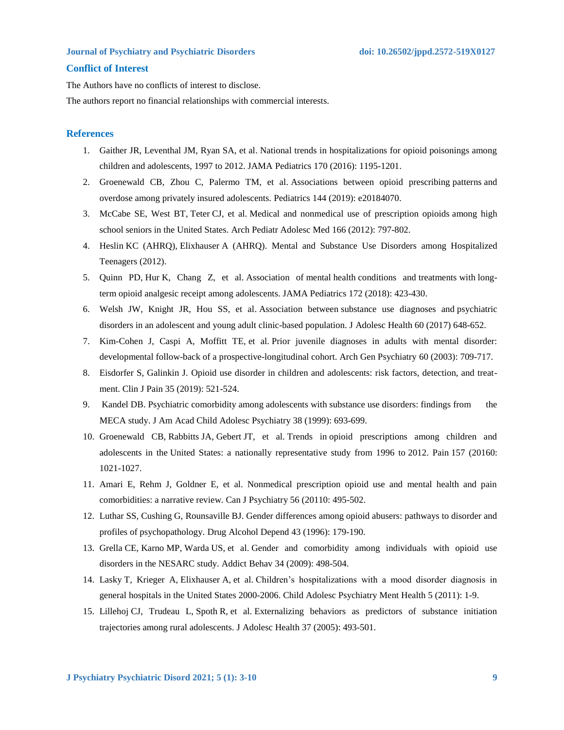### **Conflict of Interest**

The Authors have no conflicts of interest to disclose.

The authors report no financial relationships with commercial interests.

#### **References**

- 1. Gaither JR, Leventhal JM, Ryan SA, et al. National trends in hospitalizations for opioid poisonings among children and adolescents, 1997 to 2012. JAMA Pediatrics 170 (2016): 1195-1201.
- 2. Groenewald CB, Zhou C, Palermo TM, et al. Associations between opioid prescribing patterns and overdose among privately insured adolescents. Pediatrics 144 (2019): e20184070.
- 3. McCabe SE, West BT, Teter CJ, et al. Medical and nonmedical use of prescription opioids among high school seniors in the United States. Arch Pediatr Adolesc Med 166 (2012): 797-802.
- 4. Heslin KC (AHRQ), Elixhauser A (AHRQ). Mental and Substance Use Disorders among Hospitalized Teenagers (2012).
- 5. Quinn PD, Hur K, Chang Z, et al. Association of mental health conditions and treatments with longterm opioid analgesic receipt among adolescents. JAMA Pediatrics 172 (2018): 423-430.
- 6. Welsh JW, Knight JR, Hou SS, et al. Association between substance use diagnoses and psychiatric disorders in an adolescent and young adult clinic-based population. J Adolesc Health 60 (2017) 648-652.
- 7. Kim-Cohen J, Caspi A, Moffitt TE, et al. Prior juvenile diagnoses in adults with mental disorder: developmental follow-back of a prospective-longitudinal cohort. Arch Gen Psychiatry 60 (2003): 709-717.
- 8. Eisdorfer S, Galinkin J. Opioid use disorder in children and adolescents: risk factors, detection, and treatment. Clin J Pain 35 (2019): 521-524.
- 9. Kandel DB. Psychiatric comorbidity among adolescents with substance use disorders: findings from the MECA study. J Am Acad Child Adolesc Psychiatry 38 (1999): 693-699.
- 10. Groenewald CB, Rabbitts JA, Gebert JT, et al. Trends in opioid prescriptions among children and adolescents in the United States: a nationally representative study from 1996 to 2012. Pain 157 (20160: 1021-1027.
- 11. Amari E, Rehm J, Goldner E, et al. Nonmedical prescription opioid use and mental health and pain comorbidities: a narrative review. Can J Psychiatry 56 (20110: 495-502.
- 12. Luthar SS, Cushing G, Rounsaville BJ. Gender differences among opioid abusers: pathways to disorder and profiles of psychopathology. Drug Alcohol Depend 43 (1996): 179-190.
- 13. Grella CE, Karno MP, Warda US, et al. Gender and comorbidity among individuals with opioid use disorders in the NESARC study. Addict Behav 34 (2009): 498-504.
- 14. Lasky T, Krieger A, Elixhauser A, et al. Children's hospitalizations with a mood disorder diagnosis in general hospitals in the United States 2000-2006. Child Adolesc Psychiatry Ment Health 5 (2011): 1-9.
- 15. Lillehoj CJ, Trudeau L, Spoth R, et al. Externalizing behaviors as predictors of substance initiation trajectories among rural adolescents. J Adolesc Health 37 (2005): 493-501.